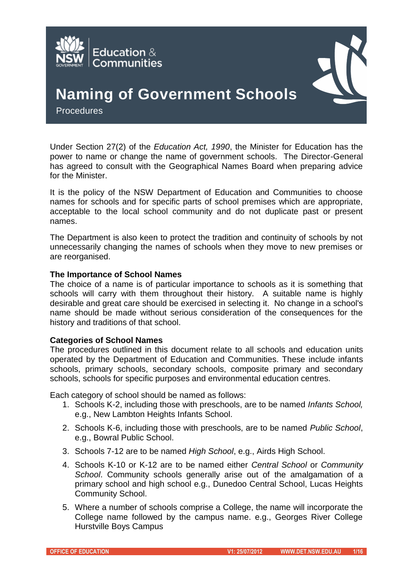



# **Naming of Government Schools**

**Procedures** 

Under Section 27(2) of the *Education Act, 1990*, the Minister for Education has the power to name or change the name of government schools. The Director-General has agreed to consult with the Geographical Names Board when preparing advice for the Minister.

It is the policy of the NSW Department of Education and Communities to choose names for schools and for specific parts of school premises which are appropriate, acceptable to the local school community and do not duplicate past or present names.

The Department is also keen to protect the tradition and continuity of schools by not unnecessarily changing the names of schools when they move to new premises or are reorganised.

#### **The Importance of School Names**

The choice of a name is of particular importance to schools as it is something that schools will carry with them throughout their history. A suitable name is highly desirable and great care should be exercised in selecting it. No change in a school's name should be made without serious consideration of the consequences for the history and traditions of that school.

#### **Categories of School Names**

The procedures outlined in this document relate to all schools and education units operated by the Department of Education and Communities. These include infants schools, primary schools, secondary schools, composite primary and secondary schools, schools for specific purposes and environmental education centres.

Each category of school should be named as follows:

- 1. Schools K-2, including those with preschools, are to be named *Infants School,*  e.g., New Lambton Heights Infants School.
- 2. Schools K-6, including those with preschools, are to be named *Public School*, e.g., Bowral Public School.
- 3. Schools 7-12 are to be named *High School*, e.g., Airds High School.
- 4. Schools K-10 or K-12 are to be named either *Central School* or *Community School*. Community schools generally arise out of the amalgamation of a primary school and high school e.g., Dunedoo Central School, Lucas Heights Community School.
- 5. Where a number of schools comprise a College, the name will incorporate the College name followed by the campus name. e.g., Georges River College Hurstville Boys Campus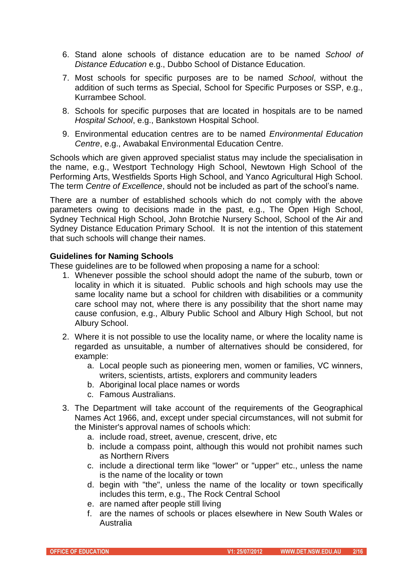- 6. Stand alone schools of distance education are to be named *School of Distance Education* e.g., Dubbo School of Distance Education.
- 7. Most schools for specific purposes are to be named *School*, without the addition of such terms as Special, School for Specific Purposes or SSP, e.g., Kurrambee School.
- 8. Schools for specific purposes that are located in hospitals are to be named *Hospital School*, e.g., Bankstown Hospital School.
- 9. Environmental education centres are to be named *Environmental Education Centre*, e.g., Awabakal Environmental Education Centre.

Schools which are given approved specialist status may include the specialisation in the name, e.g., Westport Technology High School, Newtown High School of the Performing Arts, Westfields Sports High School, and Yanco Agricultural High School. The term *Centre of Excellence*, should not be included as part of the school's name.

There are a number of established schools which do not comply with the above parameters owing to decisions made in the past, e.g., The Open High School, Sydney Technical High School, John Brotchie Nursery School, School of the Air and Sydney Distance Education Primary School. It is not the intention of this statement that such schools will change their names.

#### **Guidelines for Naming Schools**

These guidelines are to be followed when proposing a name for a school:

- 1. Whenever possible the school should adopt the name of the suburb, town or locality in which it is situated. Public schools and high schools may use the same locality name but a school for children with disabilities or a community care school may not, where there is any possibility that the short name may cause confusion, e.g., Albury Public School and Albury High School, but not Albury School.
- 2. Where it is not possible to use the locality name, or where the locality name is regarded as unsuitable, a number of alternatives should be considered, for example:
	- a. Local people such as pioneering men, women or families, VC winners, writers, scientists, artists, explorers and community leaders
	- b. Aboriginal local place names or words
	- c. Famous Australians.
- 3. The Department will take account of the requirements of the Geographical Names Act 1966, and, except under special circumstances, will not submit for the Minister's approval names of schools which:
	- a. include road, street, avenue, crescent, drive, etc
	- b. include a compass point, although this would not prohibit names such as Northern Rivers
	- c. include a directional term like "lower" or "upper" etc., unless the name is the name of the locality or town
	- d. begin with "the", unless the name of the locality or town specifically includes this term, e.g., The Rock Central School
	- e. are named after people still living
	- f. are the names of schools or places elsewhere in New South Wales or Australia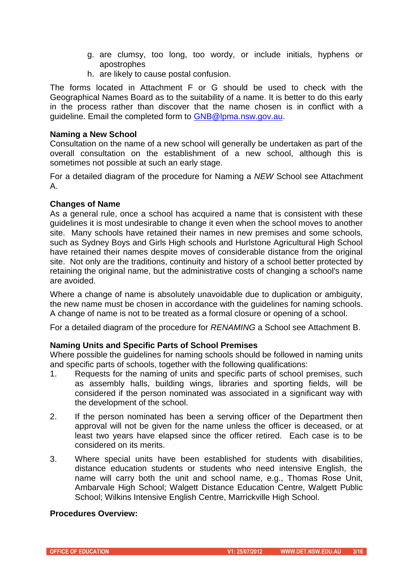- g. are clumsy, too long, too wordy, or include initials, hyphens or apostrophes
- h. are likely to cause postal confusion.

The forms located in Attachment F or G should be used to check with the Geographical Names Board as to the suitability of a name. It is better to do this early in the process rather than discover that the name chosen is in conflict with a guideline. Email the completed form to [GNB@lpma.nsw.gov.au.](mailto:GNB@lpma.nsw.gov.au)

## **Naming a New School**

Consultation on the name of a new school will generally be undertaken as part of the overall consultation on the establishment of a new school, although this is sometimes not possible at such an early stage.

For a detailed diagram of the procedure for Naming a *NEW* School see Attachment A.

## **Changes of Name**

As a general rule, once a school has acquired a name that is consistent with these guidelines it is most undesirable to change it even when the school moves to another site. Many schools have retained their names in new premises and some schools, such as Sydney Boys and Girls High schools and Hurlstone Agricultural High School have retained their names despite moves of considerable distance from the original site. Not only are the traditions, continuity and history of a school better protected by retaining the original name, but the administrative costs of changing a school's name are avoided.

Where a change of name is absolutely unavoidable due to duplication or ambiguity, the new name must be chosen in accordance with the guidelines for naming schools. A change of name is not to be treated as a formal closure or opening of a school.

For a detailed diagram of the procedure for *RENAMING* a School see Attachment B.

## **Naming Units and Specific Parts of School Premises**

Where possible the guidelines for naming schools should be followed in naming units and specific parts of schools, together with the following qualifications:

- 1. Requests for the naming of units and specific parts of school premises, such as assembly halls, building wings, libraries and sporting fields, will be considered if the person nominated was associated in a significant way with the development of the school.
- 2. If the person nominated has been a serving officer of the Department then approval will not be given for the name unless the officer is deceased, or at least two years have elapsed since the officer retired. Each case is to be considered on its merits.
- 3. Where special units have been established for students with disabilities, distance education students or students who need intensive English, the name will carry both the unit and school name, e.g., Thomas Rose Unit, Ambarvale High School; Walgett Distance Education Centre, Walgett Public School; Wilkins Intensive English Centre, Marrickville High School.

#### **Procedures Overview:**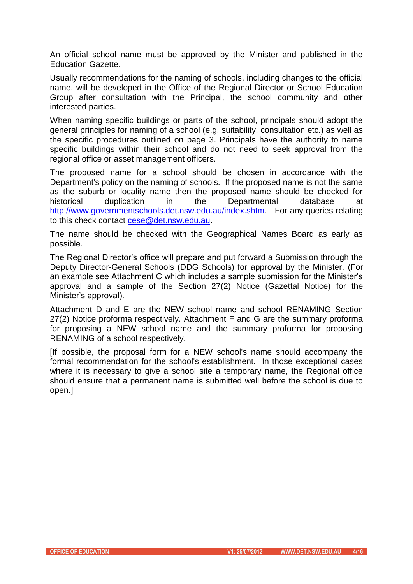An official school name must be approved by the Minister and published in the Education Gazette.

Usually recommendations for the naming of schools, including changes to the official name, will be developed in the Office of the Regional Director or School Education Group after consultation with the Principal, the school community and other interested parties.

When naming specific buildings or parts of the school, principals should adopt the general principles for naming of a school (e.g. suitability, consultation etc.) as well as the specific procedures outlined on page 3. Principals have the authority to name specific buildings within their school and do not need to seek approval from the regional office or asset management officers.

The proposed name for a school should be chosen in accordance with the Department's policy on the naming of schools. If the proposed name is not the same as the suburb or locality name then the proposed name should be checked for historical duplication in the Departmental database at [http://www.governmentschools.det.nsw.edu.au/index.shtm.](http://www.governmentschools.det.nsw.edu.au/index.shtm) For any queries relating to this check contact [cese@det.nsw.edu.au.](mailto:cese@det.nsw.edu.au)

The name should be checked with the Geographical Names Board as early as possible.

The Regional Director's office will prepare and put forward a Submission through the Deputy Director-General Schools (DDG Schools) for approval by the Minister. (For an example see Attachment C which includes a sample submission for the Minister's approval and a sample of the Section 27(2) Notice (Gazettal Notice) for the Minister's approval).

Attachment D and E are the NEW school name and school RENAMING Section 27(2) Notice proforma respectively. Attachment F and G are the summary proforma for proposing a NEW school name and the summary proforma for proposing RENAMING of a school respectively.

[If possible, the proposal form for a NEW school's name should accompany the formal recommendation for the school's establishment. In those exceptional cases where it is necessary to give a school site a temporary name, the Regional office should ensure that a permanent name is submitted well before the school is due to open.]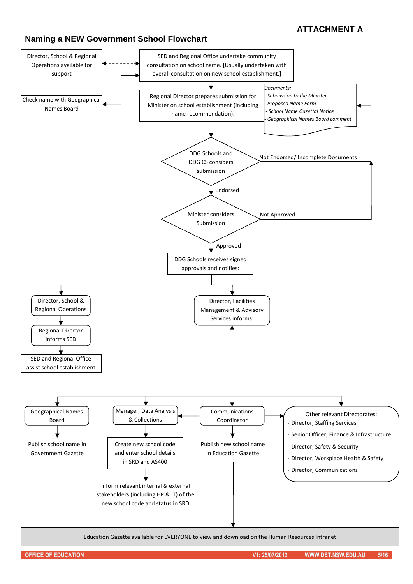## **Naming a NEW Government School Flowchart**

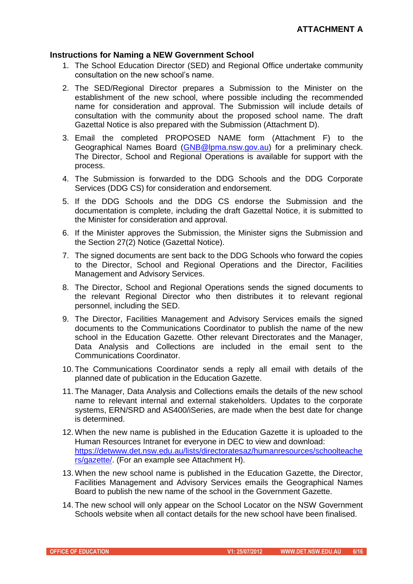#### **Instructions for Naming a NEW Government School**

- 1. The School Education Director (SED) and Regional Office undertake community consultation on the new school's name.
- 2. The SED/Regional Director prepares a Submission to the Minister on the establishment of the new school, where possible including the recommended name for consideration and approval. The Submission will include details of consultation with the community about the proposed school name. The draft Gazettal Notice is also prepared with the Submission (Attachment D).
- 3. Email the completed PROPOSED NAME form (Attachment F) to the Geographical Names Board [\(GNB@lpma.nsw.gov.au\)](mailto:GNB@lpma.nsw.gov.au) for a preliminary check. The Director, School and Regional Operations is available for support with the process.
- 4. The Submission is forwarded to the DDG Schools and the DDG Corporate Services (DDG CS) for consideration and endorsement.
- 5. If the DDG Schools and the DDG CS endorse the Submission and the documentation is complete, including the draft Gazettal Notice, it is submitted to the Minister for consideration and approval.
- 6. If the Minister approves the Submission, the Minister signs the Submission and the Section 27(2) Notice (Gazettal Notice).
- 7. The signed documents are sent back to the DDG Schools who forward the copies to the Director, School and Regional Operations and the Director, Facilities Management and Advisory Services.
- 8. The Director, School and Regional Operations sends the signed documents to the relevant Regional Director who then distributes it to relevant regional personnel, including the SED.
- 9. The Director, Facilities Management and Advisory Services emails the signed documents to the Communications Coordinator to publish the name of the new school in the Education Gazette. Other relevant Directorates and the Manager, Data Analysis and Collections are included in the email sent to the Communications Coordinator.
- 10. The Communications Coordinator sends a reply all email with details of the planned date of publication in the Education Gazette.
- 11. The Manager, Data Analysis and Collections emails the details of the new school name to relevant internal and external stakeholders. Updates to the corporate systems, ERN/SRD and AS400/iSeries, are made when the best date for change is determined.
- 12. When the new name is published in the Education Gazette it is uploaded to the Human Resources Intranet for everyone in DEC to view and download: [https://detwww.det.nsw.edu.au/lists/directoratesaz/humanresources/schoolteache](https://detwww.det.nsw.edu.au/lists/directoratesaz/humanresources/schoolteachers/gazette/) [rs/gazette/.](https://detwww.det.nsw.edu.au/lists/directoratesaz/humanresources/schoolteachers/gazette/) (For an example see Attachment H).
- 13. When the new school name is published in the Education Gazette, the Director, Facilities Management and Advisory Services emails the Geographical Names Board to publish the new name of the school in the Government Gazette.
- 14. The new school will only appear on the School Locator on the NSW Government Schools website when all contact details for the new school have been finalised.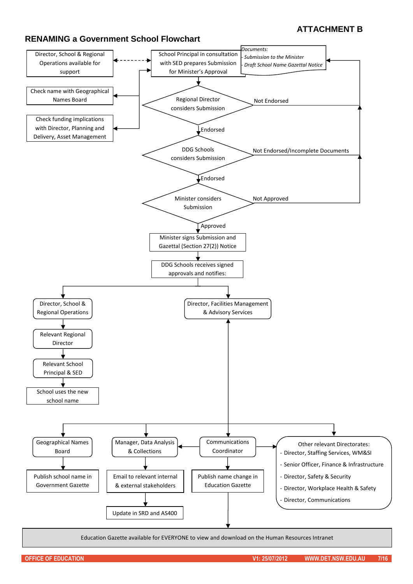## **RENAMING a Government School Flowchart**



Education Gazette available for EVERYONE to view and download on the Human Resources Intranet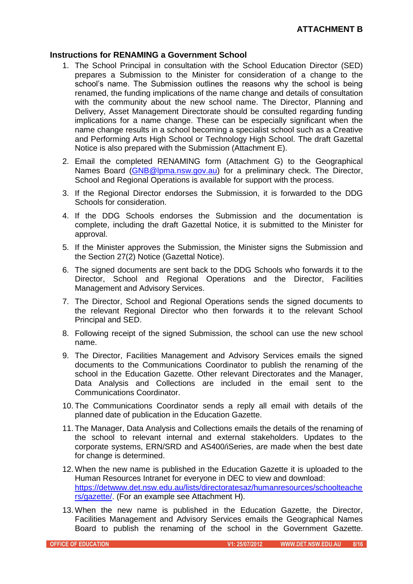## **Instructions for RENAMING a Government School**

- 1. The School Principal in consultation with the School Education Director (SED) prepares a Submission to the Minister for consideration of a change to the school's name. The Submission outlines the reasons why the school is being renamed, the funding implications of the name change and details of consultation with the community about the new school name. The Director, Planning and Delivery, Asset Management Directorate should be consulted regarding funding implications for a name change. These can be especially significant when the name change results in a school becoming a specialist school such as a Creative and Performing Arts High School or Technology High School. The draft Gazettal Notice is also prepared with the Submission (Attachment E).
- 2. Email the completed RENAMING form (Attachment G) to the Geographical Names Board [\(GNB@lpma.nsw.gov.au\)](mailto:GNB@lpma.nsw.gov.au) for a preliminary check. The Director, School and Regional Operations is available for support with the process.
- 3. If the Regional Director endorses the Submission, it is forwarded to the DDG Schools for consideration.
- 4. If the DDG Schools endorses the Submission and the documentation is complete, including the draft Gazettal Notice, it is submitted to the Minister for approval.
- 5. If the Minister approves the Submission, the Minister signs the Submission and the Section 27(2) Notice (Gazettal Notice).
- 6. The signed documents are sent back to the DDG Schools who forwards it to the Director, School and Regional Operations and the Director, Facilities Management and Advisory Services.
- 7. The Director, School and Regional Operations sends the signed documents to the relevant Regional Director who then forwards it to the relevant School Principal and SED.
- 8. Following receipt of the signed Submission, the school can use the new school name.
- 9. The Director, Facilities Management and Advisory Services emails the signed documents to the Communications Coordinator to publish the renaming of the school in the Education Gazette. Other relevant Directorates and the Manager, Data Analysis and Collections are included in the email sent to the Communications Coordinator.
- 10. The Communications Coordinator sends a reply all email with details of the planned date of publication in the Education Gazette.
- 11. The Manager, Data Analysis and Collections emails the details of the renaming of the school to relevant internal and external stakeholders. Updates to the corporate systems, ERN/SRD and AS400/iSeries, are made when the best date for change is determined.
- 12. When the new name is published in the Education Gazette it is uploaded to the Human Resources Intranet for everyone in DEC to view and download: [https://detwww.det.nsw.edu.au/lists/directoratesaz/humanresources/schoolteache](https://detwww.det.nsw.edu.au/lists/directoratesaz/humanresources/schoolteachers/gazette/) [rs/gazette/.](https://detwww.det.nsw.edu.au/lists/directoratesaz/humanresources/schoolteachers/gazette/) (For an example see Attachment H).
- 13. When the new name is published in the Education Gazette, the Director, Facilities Management and Advisory Services emails the Geographical Names Board to publish the renaming of the school in the Government Gazette.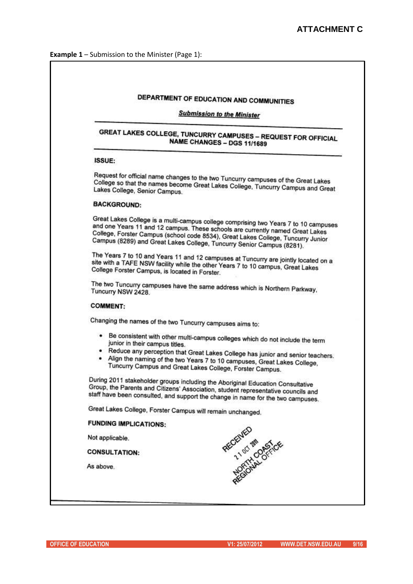| <b>Submission to the Minister</b>                                                                                                                                                                                                                                                                                                 |
|-----------------------------------------------------------------------------------------------------------------------------------------------------------------------------------------------------------------------------------------------------------------------------------------------------------------------------------|
| <b>GREAT LAKES COLLEGE, TUNCURRY CAMPUSES - REQUEST FOR OFFICIAL</b><br>NAME CHANGES - DGS 11/1689                                                                                                                                                                                                                                |
| ISSUE:                                                                                                                                                                                                                                                                                                                            |
| Request for official name changes to the two Tuncurry campuses of the Great Lakes<br>College so that the names become Great Lakes College, Tuncurry Campus and Great<br>Lakes College, Senior Campus.                                                                                                                             |
| <b>BACKGROUND:</b>                                                                                                                                                                                                                                                                                                                |
| Great Lakes College is a multi-campus college comprising two Years 7 to 10 campuses<br>and one Years 11 and 12 campus. These schools are currently named Great Lakes<br>College, Forster Campus (school code 8534), Great Lakes College, Tuncurry Junior<br>Campus (8289) and Great Lakes College, Tuncurry Senior Campus (8281). |
| The Years 7 to 10 and Years 11 and 12 campuses at Tuncurry are jointly located on a<br>site with a TAFE NSW facility while the other Years 7 to 10 campus, Great Lakes<br>College Forster Campus, is located in Forster.                                                                                                          |
| The two Tuncurry campuses have the same address which is Northern Parkway,<br>Tuncurry NSW 2428.                                                                                                                                                                                                                                  |
| <b>COMMENT:</b>                                                                                                                                                                                                                                                                                                                   |
| Changing the names of the two Tuncurry campuses aims to:                                                                                                                                                                                                                                                                          |
| . Be consistent with other multi-campus colleges which do not include the term<br>junior in their campus titles.<br>• Reduce any perception that Great Lakes College has junior and senior teachers.<br>• Align the naming of the two Years 7 to 10 campuses, Great Lakes College,                                                |
| Tuncurry Campus and Great Lakes College, Forster Campus.                                                                                                                                                                                                                                                                          |
| During 2011 stakeholder groups including the Aboriginal Education Consultative<br>Group, the Parents and Citizens' Association, student representative councils and<br>staff have been consulted, and support the change in name for the two campuses.                                                                            |
| Great Lakes College, Forster Campus will remain unchanged.                                                                                                                                                                                                                                                                        |
| <b>FUNDING IMPLICATIONS:</b>                                                                                                                                                                                                                                                                                                      |
| Not applicable.                                                                                                                                                                                                                                                                                                                   |
| REGENTED MAIL OFFICE<br><b>CONSULTATION:</b>                                                                                                                                                                                                                                                                                      |
| As above.                                                                                                                                                                                                                                                                                                                         |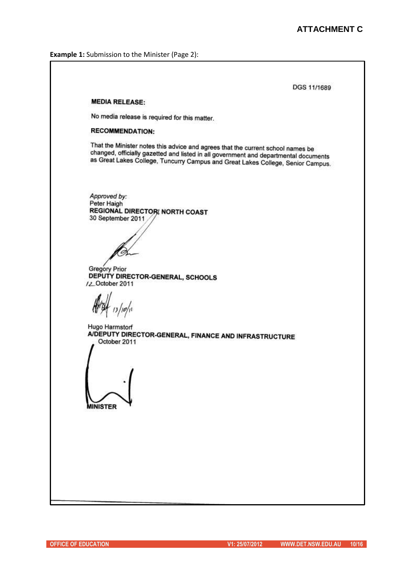**Example 1:** Submission to the Minister (Page 2):

DGS 11/1689 **MEDIA RELEASE:** No media release is required for this matter. **RECOMMENDATION:** That the Minister notes this advice and agrees that the current school names be that the minister notes this advice and agrees that the current school names be<br>changed, officially gazetted and listed in all government and departmental documents changed, officially gazetted and listed in all government and departmental documents<br>as Great Lakes College, Tuncurry Campus and Great Lakes College, Senior Campus. Approved by: Peter Haigh **REGIONAL DIRECTOR NORTH COAST** 30 September 2011 Gregory Prior DEPUTY DIRECTOR-GENERAL, SCHOOLS /2\_October 2011 13/10/11 Hugo Harmstorf A/DEPUTY DIRECTOR-GENERAL, FINANCE AND INFRASTRUCTURE October 2011 **MINISTER**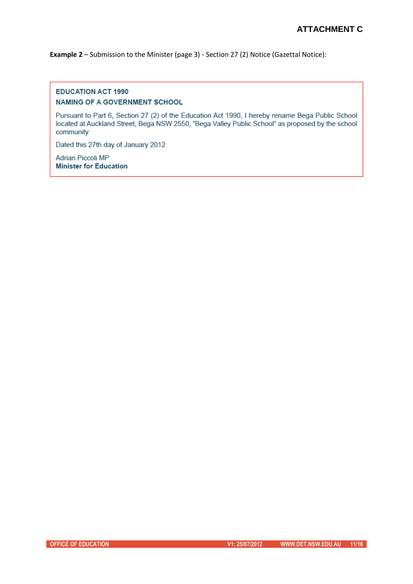**Example 2** – Submission to the Minister (page 3) - Section 27 (2) Notice (Gazettal Notice):

#### **EDUCATION ACT 1990 NAMING OF A GOVERNMENT SCHOOL**

Pursuant to Part 6, Section 27 (2) of the Education Act 1990, I hereby rename Bega Public School located at Auckland Street, Bega NSW 2550, "Bega Valley Public School" as proposed by the school community.

Dated this 27th day of January 2012

**Adrian Piccoli MP Minister for Education**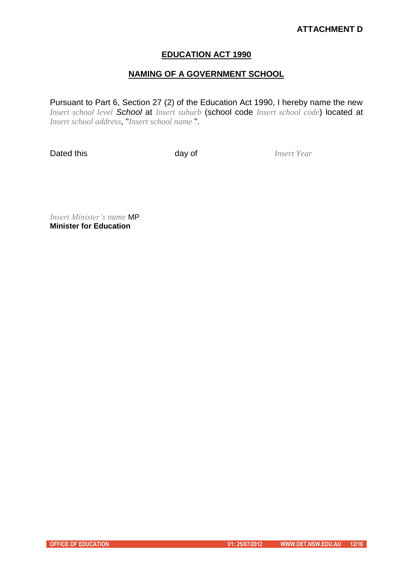## **ATTACHMENT D**

#### **EDUCATION ACT 1990**

## **NAMING OF A GOVERNMENT SCHOOL**

Pursuant to Part 6, Section 27 (2) of the Education Act 1990, I hereby name the new *Insert school level School* at *Insert suburb* (school code *Insert school code*) located at *Insert school address*, "*Insert school name* ".

Dated this **Dated this** *Insert Year* 

*Insert Minister's name* MP **Minister for Education**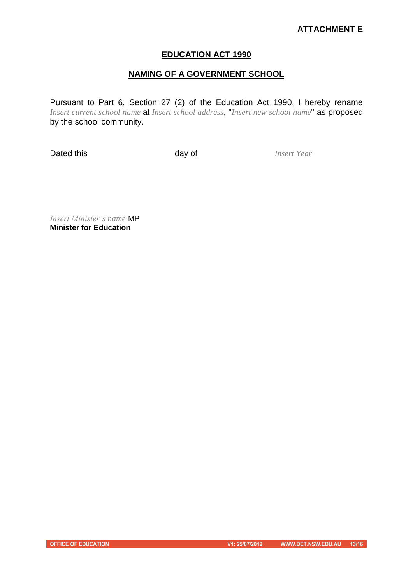## **ATTACHMENT E**

#### **EDUCATION ACT 1990**

## **NAMING OF A GOVERNMENT SCHOOL**

Pursuant to Part 6, Section 27 (2) of the Education Act 1990, I hereby rename *Insert current school name* at *Insert school address*, "*Insert new school name*" as proposed by the school community.

**Dated this** day of *Insert Year* 

*Insert Minister's name* MP **Minister for Education**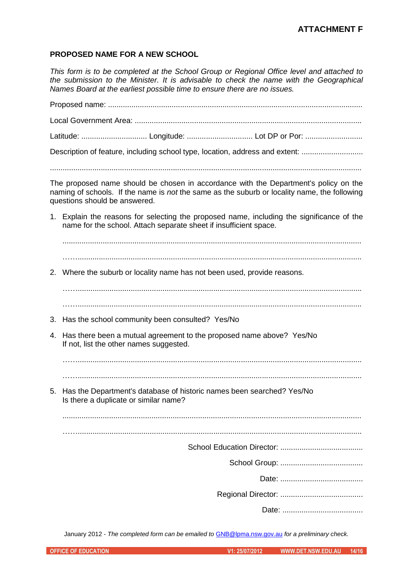## **ATTACHMENT F**

#### **PROPOSED NAME FOR A NEW SCHOOL**

*This form is to be completed at the School Group or Regional Office level and attached to the submission to the Minister. It is advisable to check the name with the Geographical Names Board at the earliest possible time to ensure there are no issues.*

Proposed name: ........................................................................................................................ Local Government Area: ........................................................................................................... Latitude: ............................... Longitude: ............................... Lot DP or Por: ........................... Description of feature, including school type, location, address and extent: ................................ ................................................................................................................................................... The proposed name should be chosen in accordance with the Department's policy on the naming of schools. If the name is *not* the same as the suburb or locality name, the following questions should be answered. 1. Explain the reasons for selecting the proposed name, including the significance of the name for the school. Attach separate sheet if insufficient space. ............................................................................................................................................. 2. Where the suburb or locality name has not been used, provide reasons. ……...................................................................................................................................... 3. Has the school community been consulted? Yes/No 4. Has there been a mutual agreement to the proposed name above? Yes/No If not, list the other names suggested. ……...................................................................................................................................... ……...................................................................................................................................... 5. Has the Department's database of historic names been searched? Yes/No Is there a duplicate or similar name? ............................................................................................................................................. ……...................................................................................................................................... School Education Director: ....................................... School Group: ....................................... Date: ....................................... Regional Director: ....................................... Date: ......................................

January 2012 - *The completed form can be emailed to* [GNB@lpma.nsw.gov.au](mailto:GNB@lpma.nsw.gov.au) *for a preliminary check.*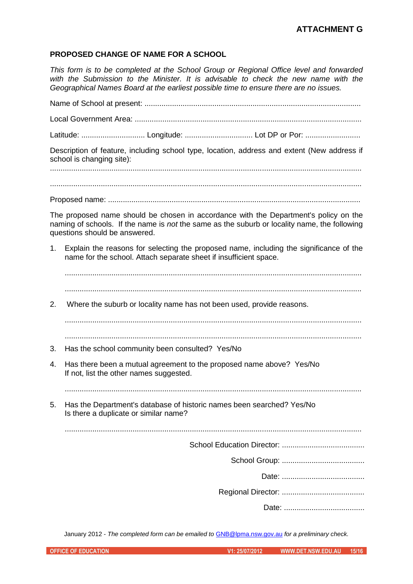#### **PROPOSED CHANGE OF NAME FOR A SCHOOL**

*This form is to be completed at the School Group or Regional Office level and forwarded with the Submission to the Minister. It is advisable to check the new name with the Geographical Names Board at the earliest possible time to ensure there are no issues.*

Name of School at present: ......................................................................................................

Local Government Area: ...........................................................................................................

Latitude: .............................. Longitude: ................................ Lot DP or Por: ..........................

Description of feature, including school type, location, address and extent (New address if school is changing site):

...................................................................................................................................................

Proposed name: .......................................................................................................................

The proposed name should be chosen in accordance with the Department's policy on the naming of schools. If the name is *not* the same as the suburb or locality name, the following questions should be answered.

1. Explain the reasons for selecting the proposed name, including the significance of the name for the school. Attach separate sheet if insufficient space.

2. Where the suburb or locality name has not been used, provide reasons.

............................................................................................................................................ ............................................................................................................................................

- 3. Has the school community been consulted? Yes/No
- 4. Has there been a mutual agreement to the proposed name above? Yes/No If not, list the other names suggested.

............................................................................................................................................

5. Has the Department's database of historic names been searched? Yes/No Is there a duplicate or similar name?

............................................................................................................................................

School Education Director: .......................................

School Group: .......................................

Date: .......................................

Regional Director: .......................................

Date: ......................................

January 2012 - *The completed form can be emailed to* [GNB@lpma.nsw.gov.au](mailto:GNB@lpma.nsw.gov.au) *for a preliminary check.*